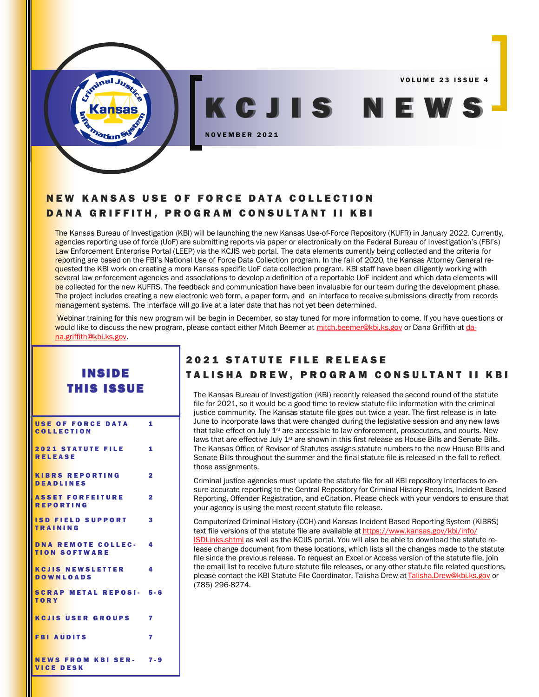VOLUME 23 ISSUE 4

# NEW KANSAS USE OF FORCE DATA COLLECTION DANA GRIFFITH, PROGRAM CONSULTANT II KBI

N O V E M B E R 2 0 2 1

The Kansas Bureau of Investigation (KBI) will be launching the new Kansas Use-of-Force Repository (KUFR) in January 2022. Currently, agencies reporting use of force (UoF) are submitting reports via paper or electronically on the Federal Bureau of Investigation's (FBI's) Law Enforcement Enterprise Portal (LEEP) via the KCJIS web portal. The data elements currently being collected and the criteria for reporting are based on the FBI's National Use of Force Data Collection program. In the fall of 2020, the Kansas Attorney General requested the KBI work on creating a more Kansas specific UoF data collection program. KBI staff have been diligently working with several law enforcement agencies and associations to develop a definition of a reportable UoF incident and which data elements will be collected for the new KUFRS. The feedback and communication have been invaluable for our team during the development phase. The project includes creating a new electronic web form, a paper form, and an interface to receive submissions directly from records management systems. The interface will go live at a later date that has not yet been determined.

Webinar training for this new program will be begin in December, so stay tuned for more information to come. If you have questions or would like to discuss the new program, please contact either Mitch Beemer at [mitch.beemer@kbi.ks.gov](mailto:mitch.beemer@kbi.ks.gov) or Dana Griffith at [da](mailto:dana.griffith@kbi.ks.gov)[na.griffith@kbi.ks.gov.](mailto:dana.griffith@kbi.ks.gov)

# **INSIDE THIS ISSUE**

ation

| USE OF FORCE DATA 1<br><b>COLLECTION</b>            |                         |
|-----------------------------------------------------|-------------------------|
| 2021 STATUTE FILE 1<br><b>RELEASE</b>               |                         |
| KIBRS REPORTING<br><b>DEADLINES</b>                 | $\overline{2}$          |
| <b>ASSET FORFEITURE 2</b><br><b>REPORTING</b>       |                         |
| <b>ISD FIELD SUPPORT</b><br><b>TRAINING</b>         | $\overline{\mathbf{3}}$ |
| <b>DNA REMOTE COLLEC- 4</b><br><b>TION SOFTWARE</b> |                         |
| <b>KCJIS NEWSLETTER</b> 4<br><b>DOWNLOADS</b>       |                         |
| <b>SCRAP METAL REPOSI- 5-6</b><br><b>TORY</b>       |                         |
| <b>KCJIS USER GROUPS 7</b>                          |                         |
| <b>FBI AUDITS</b>                                   | 7                       |
| <b>NEWS FROM KBI SER- 7-9</b><br><b>VICE DESK</b>   |                         |

# **2021 STATUTE FILE RELEASE** TALISHA DREW, PROGRAM CONSULTANT II KBI

K C J I S N E W S .

The Kansas Bureau of Investigation (KBI) recently released the second round of the statute file for 2021, so it would be a good time to review statute file information with the criminal justice community. The Kansas statute file goes out twice a year. The first release is in late June to incorporate laws that were changed during the legislative session and any new laws that take effect on July 1<sup>st</sup> are accessible to law enforcement, prosecutors, and courts. New laws that are effective July  $1<sup>st</sup>$  are shown in this first release as House Bills and Senate Bills. The Kansas Office of Revisor of Statutes assigns statute numbers to the new House Bills and Senate Bills throughout the summer and the final statute file is released in the fall to reflect those assignments.

Criminal justice agencies must update the statute file for all KBI repository interfaces to ensure accurate reporting to the Central Repository for Criminal History Records, Incident Based Reporting, Offender Registration, and eCitation. Please check with your vendors to ensure that your agency is using the most recent statute file release.

Computerized Criminal History (CCH) and Kansas Incident Based Reporting System (KIBRS) text file versions of the statute file are available at [https://www.kansas.gov/kbi/info/](https://www.kansas.gov/kbi/info/ISDLinks.shtml) [ISDLinks.shtml](https://www.kansas.gov/kbi/info/ISDLinks.shtml) as well as the KCJIS portal. You will also be able to download the statute release change document from these locations, which lists all the changes made to the statute file since the previous release. To request an Excel or Access version of the statute file, join the email list to receive future statute file releases, or any other statute file related questions, please contact the KBI Statute File Coordinator, Talisha Drew at [Talisha.Drew@kbi.ks.gov](mailto:Talisha.Drew@kbi.ks.gov) or (785) 296-8274.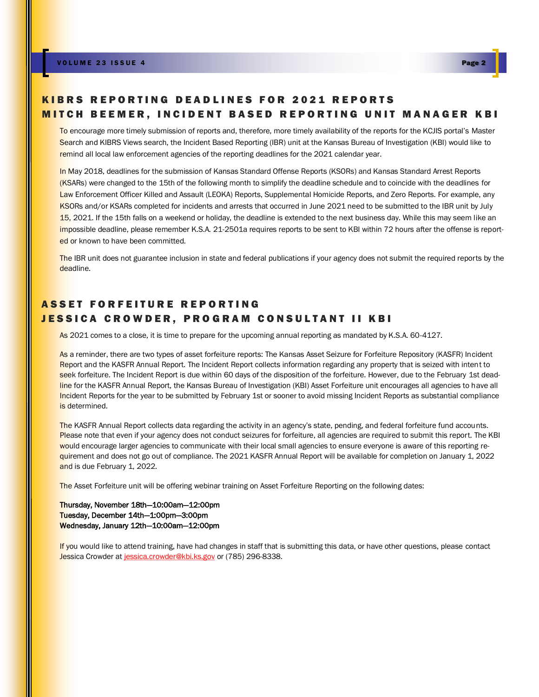### KIBRS REPORTING DEADLINES FOR 2021 REPORTS MITCH BEEMER, INCIDENT BASED REPORTING UNIT MANAGER KBI

To encourage more timely submission of reports and, therefore, more timely availability of the reports for the KCJIS portal's Master Search and KIBRS Views search, the Incident Based Reporting (IBR) unit at the Kansas Bureau of Investigation (KBI) would like to remind all local law enforcement agencies of the reporting deadlines for the 2021 calendar year.

In May 2018, deadlines for the submission of Kansas Standard Offense Reports (KSORs) and Kansas Standard Arrest Reports (KSARs) were changed to the 15th of the following month to simplify the deadline schedule and to coincide with the deadlines for Law Enforcement Officer Killed and Assault (LEOKA) Reports, Supplemental Homicide Reports, and Zero Reports. For example, any KSORs and/or KSARs completed for incidents and arrests that occurred in June 2021 need to be submitted to the IBR unit by July 15, 2021. If the 15th falls on a weekend or holiday, the deadline is extended to the next business day. While this may seem like an impossible deadline, please remember K.S.A. 21-2501a requires reports to be sent to KBI within 72 hours after the offense is reported or known to have been committed.

The IBR unit does not guarantee inclusion in state and federal publications if your agency does not submit the required reports by the deadline.

### ASSET FORFEITURE REPORTING JESSICA CROWDER, PROGRAM CONSULTANT II KBI

As 2021 comes to a close, it is time to prepare for the upcoming annual reporting as mandated by K.S.A. 60-4127.

As a reminder, there are two types of asset forfeiture reports: The Kansas Asset Seizure for Forfeiture Repository (KASFR) Incident Report and the KASFR Annual Report. The Incident Report collects information regarding any property that is seized with intent to seek forfeiture. The Incident Report is due within 60 days of the disposition of the forfeiture. However, due to the February 1st deadline for the KASFR Annual Report, the Kansas Bureau of Investigation (KBI) Asset Forfeiture unit encourages all agencies to have all Incident Reports for the year to be submitted by February 1st or sooner to avoid missing Incident Reports as substantial compliance is determined.

The KASFR Annual Report collects data regarding the activity in an agency's state, pending, and federal forfeiture fund accounts. Please note that even if your agency does not conduct seizures for forfeiture, all agencies are required to submit this report. The KBI would encourage larger agencies to communicate with their local small agencies to ensure everyone is aware of this reporting requirement and does not go out of compliance. The 2021 KASFR Annual Report will be available for completion on January 1, 2022 and is due February 1, 2022.

The Asset Forfeiture unit will be offering webinar training on Asset Forfeiture Reporting on the following dates:

Thursday, November 18th—10:00am—12:00pm Tuesday, December 14th—1:00pm—3:00pm Wednesday, January 12th—10:00am—12:00pm

If you would like to attend training, have had changes in staff that is submitting this data, or have other questions, please contact Jessica Crowder at [jessica.crowder@kbi.ks.gov](mailto:jessica.crowder@kbi.ks.gov) or (785) 296-8338.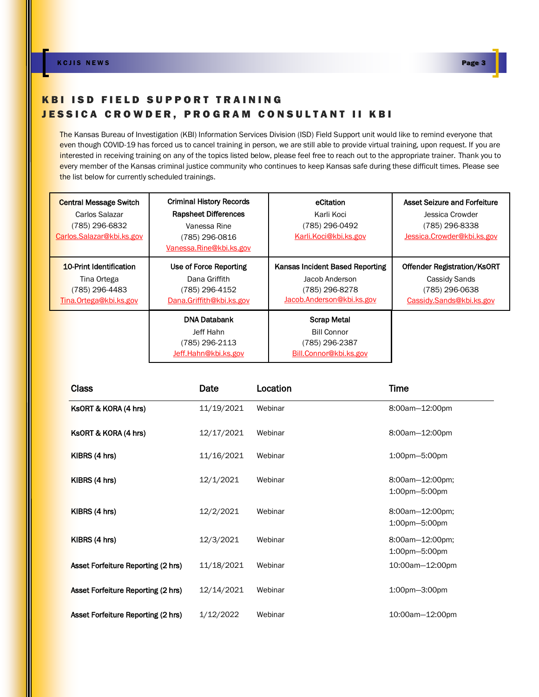### KBI ISD FIELD SUPPORT TRAINING JESSICA CROWDER, PROGRAM CONSULTANT II KBI

The Kansas Bureau of Investigation (KBI) Information Services Division (ISD) Field Support unit would like to remind everyone that even though COVID-19 has forced us to cancel training in person, we are still able to provide virtual training, upon request. If you are interested in receiving training on any of the topics listed below, please feel free to reach out to the appropriate trainer. Thank you to every member of the Kansas criminal justice community who continues to keep Kansas safe during these difficult times. Please see the list below for currently scheduled trainings.

| <b>Central Message Switch</b><br>Carlos Salazar<br>(785) 296-6832<br>Carlos.Salazar@kbi.ks.gov | <b>Criminal History Records</b><br><b>Rapsheet Differences</b><br>Vanessa Rine<br>(785) 296-0816<br>Vanessa.Rine@kbi.ks.gov | eCitation<br>Karli Koci<br>(785) 296-0492<br>Karli.Koci@kbi.ks.gov                               | <b>Asset Seizure and Forfeiture</b><br>Jessica Crowder<br>(785) 296-8338<br>Jessica.Crowder@kbi.ks.gov |
|------------------------------------------------------------------------------------------------|-----------------------------------------------------------------------------------------------------------------------------|--------------------------------------------------------------------------------------------------|--------------------------------------------------------------------------------------------------------|
| 10-Print Identification<br>Tina Ortega<br>(785) 296-4483<br>Tina.Ortega@kbi.ks.gov             | Use of Force Reporting<br>Dana Griffith<br>(785) 296-4152<br>Dana.Griffith@kbi.ks.gov                                       | Kansas Incident Based Reporting<br>Jacob Anderson<br>(785) 296-8278<br>Jacob.Anderson@kbi.ks.gov | <b>Offender Registration/KsORT</b><br>Cassidy Sands<br>(785) 296-0638<br>Cassidy.Sands@kbi.ks.gov      |
|                                                                                                | <b>DNA Databank</b><br>Jeff Hahn<br>(785) 296-2113<br>Jeff.Hahn@kbi.ks.gov                                                  | <b>Scrap Metal</b><br>Bill Connor<br>(785) 296-2387<br>Bill.Connor@kbi.ks.gov                    |                                                                                                        |

| <b>Class</b>                       | Date       | Location | Time                                    |
|------------------------------------|------------|----------|-----------------------------------------|
| KSORT & KORA (4 hrs)               | 11/19/2021 | Webinar  | 8:00am-12:00pm                          |
| KSORT & KORA (4 hrs)               | 12/17/2021 | Webinar  | 8:00am-12:00pm                          |
| KIBRS (4 hrs)                      | 11/16/2021 | Webinar  | 1:00pm-5:00pm                           |
| KIBRS (4 hrs)                      | 12/1/2021  | Webinar  | 8:00am-12:00pm;<br>1:00pm-5:00pm        |
| KIBRS (4 hrs)                      | 12/2/2021  | Webinar  | 8:00am-12:00pm;<br>1:00pm-5:00pm        |
| KIBRS (4 hrs)                      | 12/3/2021  | Webinar  | 8:00am-12:00pm;<br>$1:00$ pm $-5:00$ pm |
| Asset Forfeiture Reporting (2 hrs) | 11/18/2021 | Webinar  | 10:00am-12:00pm                         |
| Asset Forfeiture Reporting (2 hrs) | 12/14/2021 | Webinar  | 1:00pm-3:00pm                           |
| Asset Forfeiture Reporting (2 hrs) | 1/12/2022  | Webinar  | 10:00am-12:00pm                         |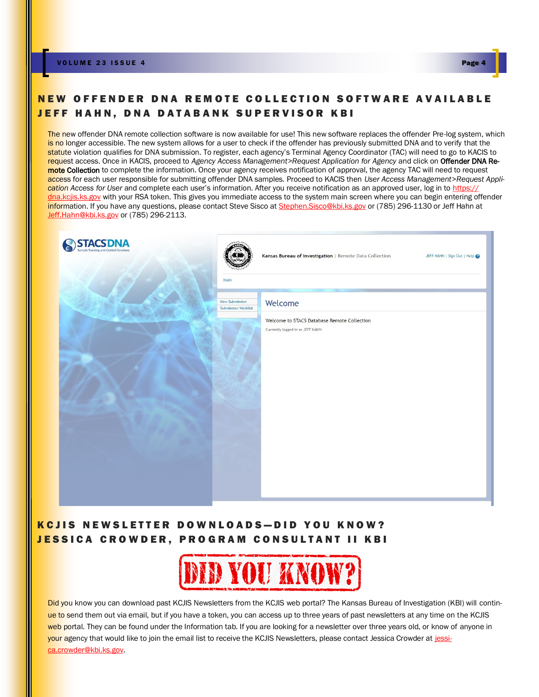## NEW OFFENDER DNA REMOTE COLLECTION SOFTWARE AVAILABLE JEFF HAHN, DNA DATABANK SUPERVISOR KBI

The new offender DNA remote collection software is now available for use! This new software replaces the offender Pre-log system, which is no longer accessible. The new system allows for a user to check if the offender has previously submitted DNA and to verify that the statute violation qualifies for DNA submission. To register, each agency's Terminal Agency Coordinator (TAC) will need to go to KACIS to request access. Once in KACIS, proceed to *Agency Access Management>Request Application for Agency* and click on Offender DNA Remote Collection to complete the information. Once your agency receives notification of approval, the agency TAC will need to request access for each user responsible for submitting offender DNA samples. Proceed to KACIS then *User Access Management*>*Request Application Access for User* and complete each user's information. After you receive notification as an approved user, log in to [https://](https://dna.kcjis.ks.gov) dna.kcijs.ks.gov with your RSA token. This gives you immediate access to the system main screen where you can begin entering offender information. If you have any questions, please contact Steve Sisco at [Stephen.Sisco@kbi.ks.gov](mailto:Stephen.Sisco@kbi.ks.gov) or (785) 296-1130 or Jeff Hahn at [Jeff.Hahn@kbi.ks.gov](mailto:Jeff.Hahn@kbi.ks.gov) or (785) 296-2113.

| <b>STACS DNA</b> | Kansas Bureau of Investigation   Remote Data Collection<br>JEFF HAHN   Sign Out   Help                                                             |
|------------------|----------------------------------------------------------------------------------------------------------------------------------------------------|
|                  | Main<br>Welcome<br>New Submission<br><b>Submission Worklist</b><br>Welcome to STACS Database Remote Collection<br>Currently logged in as JEFF HAHN |
|                  |                                                                                                                                                    |

### KCJIS NEWSLETTER DOWNLOADS-DID YOU KNOW? **JESSICA CROWDER, PROGRAM CONSULTANT II KBI**



Did you know you can download past KCJIS Newsletters from the KCJIS web portal? The Kansas Bureau of Investigation (KBI) will continue to send them out via email, but if you have a token, you can access up to three years of past newsletters at any time on the KCJIS web portal. They can be found under the Information tab. If you are looking for a newsletter over three years old, or know of anyone in your agency that would like to join the email list to receive the KCJIS Newsletters, please contact Jessica Crowder at [jessi](mailto:jessica.crowder@kbi.ks.gov)[ca.crowder@kbi.ks.gov.](mailto:jessica.crowder@kbi.ks.gov)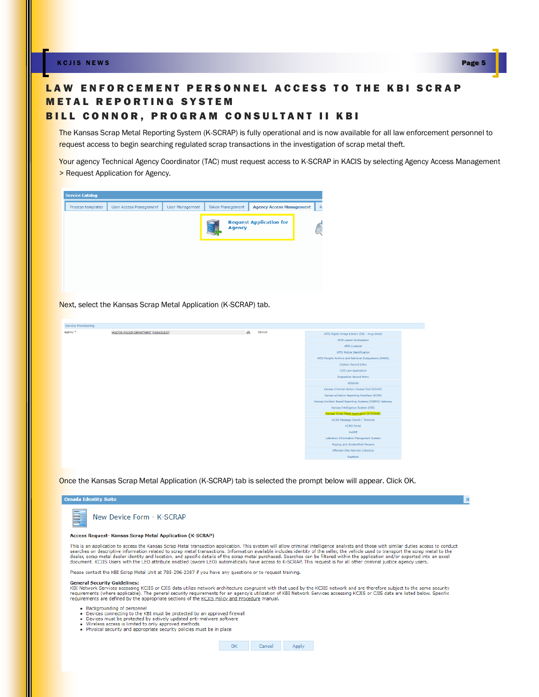K C J I S NEW S Page 5

# LAW ENFORCEMENT PERSONNEL ACCESS TO THE KBI SCRAP **METAL REPORTING SYSTEM**

### BILL CONNOR, PROGRAM CONSULTANT II KBI

The Kansas Scrap Metal Reporting System (K-SCRAP) is fully operational and is now available for all law enforcement personnel to request access to begin searching regulated scrap transactions in the investigation of scrap metal theft.

Your agency Technical Agency Coordinator (TAC) must request access to K-SCRAP in KACIS by selecting Agency Access Management > Request Application for Agency.



Next, select the Kansas Scrap Metal Application (K-SCRAP) tab.

| <b>Service Provisioning</b> |                                      |                |                                                         |
|-----------------------------|--------------------------------------|----------------|---------------------------------------------------------|
| Agency *                    | HOLTON POLICE DEPARTMENT [KS0430100] | an.<br>Service | AFIS Digital Image Library (DIL - mug shots)            |
|                             |                                      |                | <b>AFIS Latent Workstation</b>                          |
|                             |                                      |                | AFIS Livescan                                           |
|                             |                                      |                | AFIS Mobile Identification                              |
|                             |                                      |                | AFIS Morpho Archive and Retrieval Subsystems (MARS)     |
|                             |                                      |                | <b>Citation Record Entry</b>                            |
|                             |                                      |                | CJIS Law Application                                    |
|                             |                                      |                | <b>Disposition Record Entry</b>                         |
|                             |                                      |                | eStatute                                                |
|                             |                                      |                | Kansas Criminal History Access Tool (KCHAT)             |
|                             |                                      |                | Kansas eCitation Reporting Interface (ECRE)             |
|                             |                                      |                | Kansas Incident Based Reporting Systems (KIBRS) Gateway |
|                             |                                      |                | Kansas Intelligence System (KIS)                        |
|                             |                                      |                | Kansas Scrap Metal Application (K-SCRAP)                |
|                             |                                      |                | KCJIS Message Switch / Terminal                         |
|                             |                                      |                | <b>KCJIS Portal</b>                                     |
|                             |                                      |                | KsORT                                                   |
|                             |                                      |                | Labratory Information Managment System                  |
|                             |                                      |                | Missing and Unidentified Persons                        |
|                             |                                      |                | Offender DNA Remote Collection                          |
|                             |                                      |                | RapBack                                                 |

Once the Kansas Scrap Metal Application (K-SCRAP) tab is selected the prompt below will appear. Click OK.

| <b>Omada Identity Sui</b> |  |  |
|---------------------------|--|--|
|                           |  |  |
|                           |  |  |



#### Access Request- Kansas Scrap Metal Application (K-SCRAP)

This is an application to access the Kansas Scrap Metal transaction application. This system will allow criminal intelligence analysts and those with similar duties access to conduct<br>searches on descriptive information rel document. KCJIS Users with the LEO attribute enabled (sworn LEO) automatically have access to K-SCRAP. This request is for all other criminal justice agency users.

Please contact the KBI Scrap Metal Unit at 785-296-2387 if you have any questions or to request training.

#### **General Security Guidelines:**

extrict and security surface accessing KCJIS of CJIS data utilize network architecture congruent with that used by the KCJIS network and are therefore subject to the same security<br>The surface security of the security requi requirements are defined by the appropriate sections of the KCJIS Policy and Procedure manual.

- 
- Backgrounding of personnel<br>- Devices connecting to the KBI must be protected by an approved firewall<br>- Devices must be protected by actively updated anti-malware software
- 
- Wireless access is limited to only approved methods<br>• Physical security and appropriate security policies must be in place

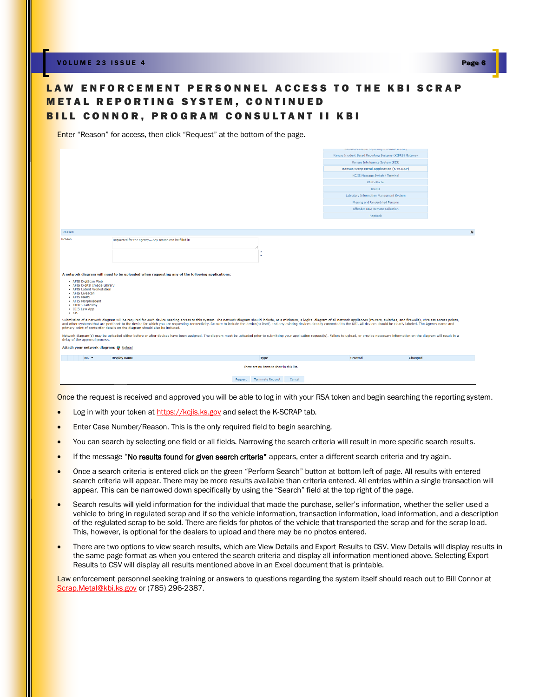V O L U M E 2 3 I S S U E 4 Page 6



### LAW ENFORCEMENT PERSONNEL ACCESS TO THE KBI SCRAP **METAL REPORTING SYSTEM, CONTINUED** BILL CONNOR, PROGRAM CONSULTANT II KBI

Enter "Reason" for access, then click "Request" at the bottom of the page.

|                                                     |                                                                                                                                                                                                                                                                                                                                                                                                                                                                                                                                                 |                                               | variage condition policinally traditional (neuro)       |               |
|-----------------------------------------------------|-------------------------------------------------------------------------------------------------------------------------------------------------------------------------------------------------------------------------------------------------------------------------------------------------------------------------------------------------------------------------------------------------------------------------------------------------------------------------------------------------------------------------------------------------|-----------------------------------------------|---------------------------------------------------------|---------------|
|                                                     |                                                                                                                                                                                                                                                                                                                                                                                                                                                                                                                                                 |                                               | Kansas Incident Based Reporting Systems (KIBRS) Gateway |               |
|                                                     |                                                                                                                                                                                                                                                                                                                                                                                                                                                                                                                                                 |                                               | Kansas Intelligence System (KIS)                        |               |
|                                                     |                                                                                                                                                                                                                                                                                                                                                                                                                                                                                                                                                 |                                               | <b>Kansas Scrap Metal Application (K-SCRAP)</b>         |               |
|                                                     |                                                                                                                                                                                                                                                                                                                                                                                                                                                                                                                                                 |                                               | KCJIS Message Switch / Terminal                         |               |
|                                                     |                                                                                                                                                                                                                                                                                                                                                                                                                                                                                                                                                 |                                               | <b>KCJIS Portal</b>                                     |               |
|                                                     |                                                                                                                                                                                                                                                                                                                                                                                                                                                                                                                                                 |                                               | <b>KsORT</b>                                            |               |
|                                                     |                                                                                                                                                                                                                                                                                                                                                                                                                                                                                                                                                 |                                               | Labratory Information Managment System                  |               |
|                                                     |                                                                                                                                                                                                                                                                                                                                                                                                                                                                                                                                                 |                                               | Missing and Unidentified Persons                        |               |
|                                                     |                                                                                                                                                                                                                                                                                                                                                                                                                                                                                                                                                 |                                               | Offender DNA Remote Collection                          |               |
|                                                     |                                                                                                                                                                                                                                                                                                                                                                                                                                                                                                                                                 |                                               | RapBack                                                 |               |
|                                                     |                                                                                                                                                                                                                                                                                                                                                                                                                                                                                                                                                 |                                               |                                                         |               |
| Reason                                              |                                                                                                                                                                                                                                                                                                                                                                                                                                                                                                                                                 |                                               |                                                         | $\circledast$ |
| Reason                                              | Requested for the agency Any reason can be filled in                                                                                                                                                                                                                                                                                                                                                                                                                                                                                            |                                               |                                                         |               |
|                                                     |                                                                                                                                                                                                                                                                                                                                                                                                                                                                                                                                                 |                                               |                                                         |               |
|                                                     |                                                                                                                                                                                                                                                                                                                                                                                                                                                                                                                                                 | ٠                                             |                                                         |               |
|                                                     |                                                                                                                                                                                                                                                                                                                                                                                                                                                                                                                                                 | ٠                                             |                                                         |               |
|                                                     |                                                                                                                                                                                                                                                                                                                                                                                                                                                                                                                                                 |                                               |                                                         |               |
|                                                     |                                                                                                                                                                                                                                                                                                                                                                                                                                                                                                                                                 |                                               |                                                         |               |
|                                                     | A network diagram will need to be uploaded when requesting any of the following applications:                                                                                                                                                                                                                                                                                                                                                                                                                                                   |                                               |                                                         |               |
| • AFIS DigiScan Web<br>• AFIS Digital Image Library |                                                                                                                                                                                                                                                                                                                                                                                                                                                                                                                                                 |                                               |                                                         |               |
| • AFIS Latent Workstation<br>· AFIS Livescan        |                                                                                                                                                                                                                                                                                                                                                                                                                                                                                                                                                 |                                               |                                                         |               |
| · AFIS MARS                                         |                                                                                                                                                                                                                                                                                                                                                                                                                                                                                                                                                 |                                               |                                                         |               |
| • AFIS MorphoIdent<br>· KIBRS Gateway               |                                                                                                                                                                                                                                                                                                                                                                                                                                                                                                                                                 |                                               |                                                         |               |
| • CJIS Law App                                      |                                                                                                                                                                                                                                                                                                                                                                                                                                                                                                                                                 |                                               |                                                         |               |
| $\cdot$ KIS                                         |                                                                                                                                                                                                                                                                                                                                                                                                                                                                                                                                                 |                                               |                                                         |               |
|                                                     | Submission of a network diagram will be required for each device needing access to this system. The network diagram should include, at a minimum, a logical diagram of all network appliances (routers, switches, and firewall<br>and other systems that are pertinent to the device for which you are requesting connectivity. Be sure to include the device(s) itself, and any existing devices already connected to the KBI. All devices should be clearly la<br>primary point of contactfor details on the diagram should also be included. |                                               |                                                         |               |
|                                                     |                                                                                                                                                                                                                                                                                                                                                                                                                                                                                                                                                 |                                               |                                                         |               |
| delay of the approval process.                      | Network diagram(s) may be uploaded either before or after devices have been assigned. The diagram must be uploaded prior to submitting your application request(s). Failure to upload, or provide necessary information on the                                                                                                                                                                                                                                                                                                                  |                                               |                                                         |               |
| Attach your network diagram: @ Upload               |                                                                                                                                                                                                                                                                                                                                                                                                                                                                                                                                                 |                                               |                                                         |               |
| No.                                                 | Display name                                                                                                                                                                                                                                                                                                                                                                                                                                                                                                                                    | <b>Type</b>                                   | <b>Created</b><br>Changed                               |               |
|                                                     |                                                                                                                                                                                                                                                                                                                                                                                                                                                                                                                                                 | There are no items to show in this list.      |                                                         |               |
|                                                     |                                                                                                                                                                                                                                                                                                                                                                                                                                                                                                                                                 |                                               |                                                         |               |
|                                                     |                                                                                                                                                                                                                                                                                                                                                                                                                                                                                                                                                 | Request<br><b>Terminate Request</b><br>Cancel |                                                         |               |

Once the request is received and approved you will be able to log in with your RSA token and begin searching the reporting system.

- Log in with your token at <https://kcjis.ks.gov> and select the K-SCRAP tab.
- Enter Case Number/Reason. This is the only required field to begin searching.
- You can search by selecting one field or all fields. Narrowing the search criteria will result in more specific search results.
- If the message "No results found for given search criteria" appears, enter a different search criteria and try again.
- Once a search criteria is entered click on the green "Perform Search" button at bottom left of page. All results with entered search criteria will appear. There may be more results available than criteria entered. All entries within a single transaction will appear. This can be narrowed down specifically by using the "Search" field at the top right of the page.
- Search results will yield information for the individual that made the purchase, seller's information, whether the seller used a vehicle to bring in regulated scrap and if so the vehicle information, transaction information, load information, and a description of the regulated scrap to be sold. There are fields for photos of the vehicle that transported the scrap and for the scrap load. This, however, is optional for the dealers to upload and there may be no photos entered.
- There are two options to view search results, which are View Details and Export Results to CSV. View Details will display results in the same page format as when you entered the search criteria and display all information mentioned above. Selecting Export Results to CSV will display all results mentioned above in an Excel document that is printable.

Law enforcement personnel seeking training or answers to questions regarding the system itself should reach out to Bill Connor at [Scrap.Metal@kbi.ks.gov](mailto:Scrap.Metal@kbi.ks.gov) or (785) 296-2387.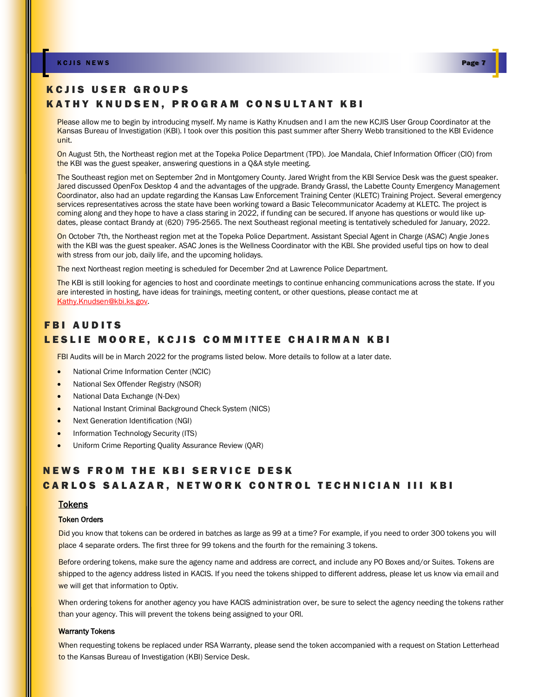#### K C J I S NEW S Page 1 A V A V H S NEW S PAGE 7 A V H S NEW S PAGE 7 A V H S NEW S PAGE 7

## KCJIS USER GROUPS KATHY KNUDSEN. PROGRAM CONSULTANT KBI

Please allow me to begin by introducing myself. My name is Kathy Knudsen and I am the new KCJIS User Group Coordinator at the Kansas Bureau of Investigation (KBI). I took over this position this past summer after Sherry Webb transitioned to the KBI Evidence unit.

On August 5th, the Northeast region met at the Topeka Police Department (TPD). Joe Mandala, Chief Information Officer (CIO) from the KBI was the guest speaker, answering questions in a Q&A style meeting.

The Southeast region met on September 2nd in Montgomery County. Jared Wright from the KBI Service Desk was the guest speaker. Jared discussed OpenFox Desktop 4 and the advantages of the upgrade. Brandy Grassl, the Labette County Emergency Management Coordinator, also had an update regarding the Kansas Law Enforcement Training Center (KLETC) Training Project. Several emergency services representatives across the state have been working toward a Basic Telecommunicator Academy at KLETC. The project is coming along and they hope to have a class staring in 2022, if funding can be secured. If anyone has questions or would like updates, please contact Brandy at (620) 795-2565. The next Southeast regional meeting is tentatively scheduled for January, 2022.

On October 7th, the Northeast region met at the Topeka Police Department. Assistant Special Agent in Charge (ASAC) Angie Jones with the KBI was the guest speaker. ASAC Jones is the Wellness Coordinator with the KBI. She provided useful tips on how to deal with stress from our job, daily life, and the upcoming holidays.

The next Northeast region meeting is scheduled for December 2nd at Lawrence Police Department.

The KBI is still looking for agencies to host and coordinate meetings to continue enhancing communications across the state. If you are interested in hosting, have ideas for trainings, meeting content, or other questions, please contact me at [Kathy.Knudsen@kbi.ks.gov.](mailto:Kathy.Knudsen@kbi.ks.gov) 

### **FBI AUDITS** LESLIE MOORE, KCJIS COMMITTEE CHAIRMAN KBI

FBI Audits will be in March 2022 for the programs listed below. More details to follow at a later date.

- National Crime Information Center (NCIC)
- National Sex Offender Registry (NSOR)
- National Data Exchange (N-Dex)
- National Instant Criminal Background Check System (NICS)
- Next Generation Identification (NGI)
- Information Technology Security (ITS)
- Uniform Crime Reporting Quality Assurance Review (QAR)

## **NEWS FROM THE KBI SERVICE DESK CARLOS SALAZAR, NETWORK CONTROL TECHNICIAN III KBI**

#### **Tokens**

#### Token Orders

Did you know that tokens can be ordered in batches as large as 99 at a time? For example, if you need to order 300 tokens you will place 4 separate orders. The first three for 99 tokens and the fourth for the remaining 3 tokens.

Before ordering tokens, make sure the agency name and address are correct, and include any PO Boxes and/or Suites. Tokens are shipped to the agency address listed in KACIS. If you need the tokens shipped to different address, please let us know via email and we will get that information to Optiv.

When ordering tokens for another agency you have KACIS administration over, be sure to select the agency needing the tokens rather than your agency. This will prevent the tokens being assigned to your ORI.

#### Warranty Tokens

When requesting tokens be replaced under RSA Warranty, please send the token accompanied with a request on Station Letterhead to the Kansas Bureau of Investigation (KBI) Service Desk.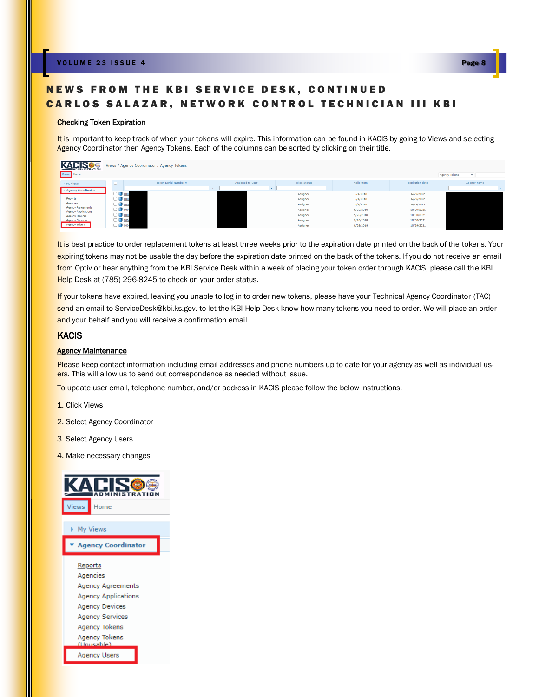## NEWS FROM THE KBI SERVICE DESK, CONTINUED CARLOS SALAZAR, NETWORK CONTROL TECHNICIAN III KBI

#### Checking Token Expiration

It is important to keep track of when your tokens will expire. This information can be found in KACIS by going to Views and selecting Agency Coordinator then Agency Tokens. Each of the columns can be sorted by clicking on their title.

| <b>ADMINISTRATION</b>                                              | Views / Agency Coordinator / Agency Tokens |                               |                  |                      |                        |                          |                               |
|--------------------------------------------------------------------|--------------------------------------------|-------------------------------|------------------|----------------------|------------------------|--------------------------|-------------------------------|
| Views Home                                                         |                                            |                               |                  |                      |                        |                          | Agency Tokens<br>$\checkmark$ |
| > My Views<br>Agency Coordinator                                   |                                            | Token Serial Number $\hat{=}$ | Assigned to User | <b>Token Status</b>  | Valid from             | <b>Expiration date</b>   | Agency name                   |
| Reports                                                            | $\Box$ 000<br>$\Box$ 000                   |                               |                  | Assigned<br>Assigned | 6/4/2018<br>6/4/2018   | 6/29/2022<br>6/29/2022   |                               |
| Agencies<br><b>Agency Agreements</b><br><b>Agency Applications</b> | $\Box$ 000<br>$\Box$ 000                   |                               |                  | Assigned<br>Assigned | 6/4/2018<br>9/26/2018  | 6/29/2023<br>10/29/2021  |                               |
| <b>Agency Devices</b><br><b>Agency Services</b>                    | $\Box$ 000<br>$\Box$ 000                   |                               |                  | Assigned<br>Assigned | 9/26/2018<br>9/26/2018 | 10/30/2021<br>10/30/2021 |                               |
| Agency Tokens                                                      | $\Box$ 000                                 |                               |                  | Assigned             | 9/26/2018              | 10/29/2021               |                               |

It is best practice to order replacement tokens at least three weeks prior to the expiration date printed on the back of the tokens. Your expiring tokens may not be usable the day before the expiration date printed on the back of the tokens. If you do not receive an email from Optiv or hear anything from the KBI Service Desk within a week of placing your token order through KACIS, please call the KBI Help Desk at (785) 296-8245 to check on your order status.

If your tokens have expired, leaving you unable to log in to order new tokens, please have your Technical Agency Coordinator (TAC) send an email to [ServiceDesk@kbi.ks.gov.](mailto:ServiceDesk@kbi.ks.gov) to let the KBI Help Desk know how many tokens you need to order. We will place an order and your behalf and you will receive a confirmation email.

#### **KACIS**

#### **Agency Maintenance**

Please keep contact information including email addresses and phone numbers up to date for your agency as well as individual users. This will allow us to send out correspondence as needed without issue.

To update user email, telephone number, and/or address in KACIS please follow the below instructions.

- 1. Click Views
- 2. Select Agency Coordinator
- 3. Select Agency Users
- 4. Make necessary changes

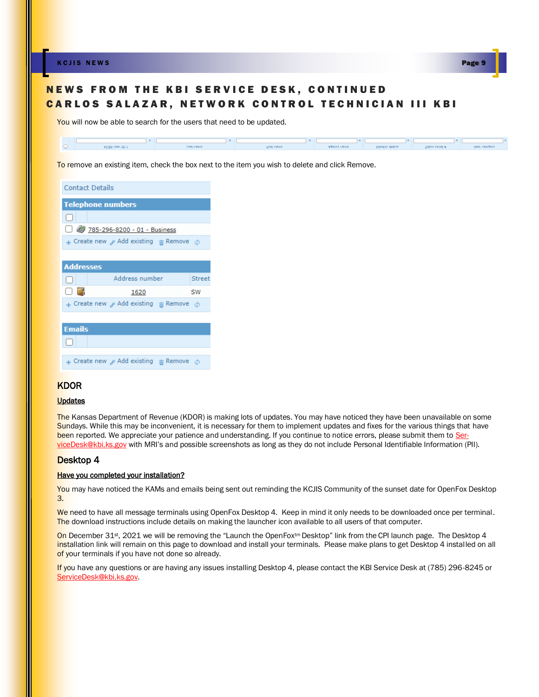K C J I S NEW S Page 9 A V S NEW S PAGE 9 A V S NEW S PAGE 9



### NEWS FROM THE KBI SERVICE DESK, CONTINUED CARLOS SALAZAR, NETWORK CONTROL TECHNICIAN III KBI

You will now be able to search for the users that need to be updated.



To remove an existing item, check the box next to the item you wish to delete and click Remove.

| <b>Contact Details</b>                                    |
|-----------------------------------------------------------|
| <b>Telephone numbers</b>                                  |
| L                                                         |
| 785-296-8200 - 01 - Business                              |
| $\div$ Create new $\rho$ Add existing $\pi$ Remove $\phi$ |
|                                                           |
| <b>Addresses</b>                                          |
|                                                           |
| Address number<br>Street<br>U                             |
| [ ] [ ]<br>SW<br>1620                                     |
| $\div$ Create new $\rho$ Add existing $\pi$ Remove $\phi$ |
|                                                           |
| <b>Emails</b>                                             |
|                                                           |
| $\div$ Create new $\rho$ Add existing $\pi$ Remove $\phi$ |

### **KDOR**

#### **Updates**

The Kansas Department of Revenue (KDOR) is making lots of updates. You may have noticed they have been unavailable on some Sundays. While this may be inconvenient, it is necessary for them to implement updates and fixes for the various things that have been reported. We appreciate your patience and understanding. If you continue to notice errors, please submit them to [Ser](mailto:ServiceDesk@kbi.ks.gov)[viceDesk@kbi.ks.gov](mailto:ServiceDesk@kbi.ks.gov) with MRI's and possible screenshots as long as they do not include Personal Identifiable Information (PII).

#### Desktop 4

#### Have you completed your installation?

You may have noticed the KAMs and emails being sent out reminding the KCJIS Community of the sunset date for OpenFox Desktop 3.

We need to have all message terminals using OpenFox Desktop 4. Keep in mind it only needs to be downloaded once per terminal. The download instructions include details on making the launcher icon available to all users of that computer.

On December 31<sup>st</sup>, 2021 we will be removing the "Launch the OpenFox<sup>tm</sup> Desktop" link from the CPI launch page. The Desktop 4 installation link will remain on this page to download and install your terminals. Please make plans to get Desktop 4 installed on all of your terminals if you have not done so already.

If you have any questions or are having any issues installing Desktop 4, please contact the KBI Service Desk at (785) 296-8245 or [ServiceDesk@kbi.ks.gov.](mailto:ServiceDesk@kbi.ks.gov)